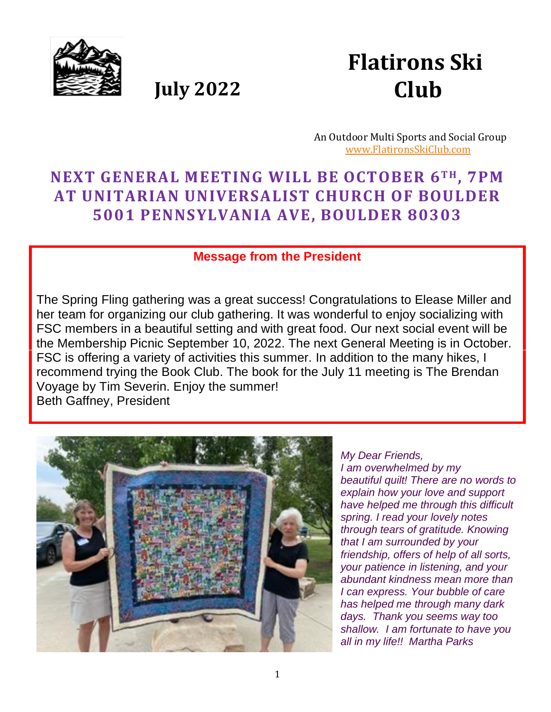

 **July 2022**



 An Outdoor Multi Sports and Social Group [www.FlatironsSkiClub.com](http://www.flatironsskiclub.com/)

# **NEXT GENERAL MEETING WILL BE OCTOBER 6TH , 7PM AT UNITARIAN UNIVERSALIST CHURCH OF BOULDER 5001 PENNSYLVANIA AVE, BOULDER 80303**

#### **Message from the President**

The Spring Fling gathering was a great success! Congratulations to Elease Miller and her team for organizing our club gathering. It was wonderful to enjoy socializing with FSC members in a beautiful setting and with great food. Our next social event will be the Membership Picnic September 10, 2022. The next General Meeting is in October. FSC is offering a variety of activities this summer. In addition to the many hikes, I recommend trying the Book Club. The book for the July 11 meeting is The Brendan Voyage by Tim Severin. Enjoy the summer! Beth Gaffney, President



*My Dear Friends, I am overwhelmed by my beautiful quilt! There are no words to explain how your love and support have helped me through this difficult spring. I read your lovely notes through tears of gratitude. Knowing that I am surrounded by your friendship, offers of help of all sorts, your patience in listening, and your abundant kindness mean more than I can express. Your bubble of care has helped me through many dark days. Thank you seems way too shallow. I am fortunate to have you all in my life!! Martha Parks*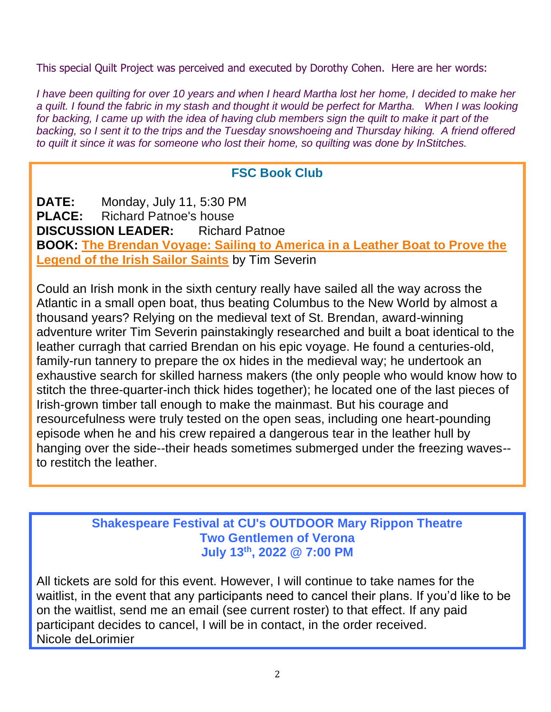This special Quilt Project was perceived and executed by Dorothy Cohen. Here are her words:

*I have been quilting for over 10 years and when I heard Martha lost her home, I decided to make her a quilt. I found the fabric in my stash and thought it would be perfect for Martha. When I was looking for backing, I came up with the idea of having club members sign the quilt to make it part of the backing, so I sent it to the trips and the Tuesday snowshoeing and Thursday hiking. A friend offered to quilt it since it was for someone who lost their home, so quilting was done by InStitches.*

#### **FSC Book Club**

**DATE:** Monday, July 11, 5:30 PM **PLACE:** Richard Patnoe's house **DISCUSSION LEADER:** Richard Patnoe **BOOK: [The Brendan Voyage: Sailing to America in a Leather Boat to Prove the](https://www.amazon.com/Brendan-Voyage-Sailing-America-Exploration/dp/0375755241/ref=sr_1_1?crid=3QQ3N5YXHVS9S&keywords=brendan+voyage+severin&qid=1655346793&sprefix=brendans+v%2Caps%2C137&sr=8-1)  [Legend of the Irish Sailor Saints](https://www.amazon.com/Brendan-Voyage-Sailing-America-Exploration/dp/0375755241/ref=sr_1_1?crid=3QQ3N5YXHVS9S&keywords=brendan+voyage+severin&qid=1655346793&sprefix=brendans+v%2Caps%2C137&sr=8-1)** by Tim Severin

Could an Irish monk in the sixth century really have sailed all the way across the Atlantic in a small open boat, thus beating Columbus to the New World by almost a thousand years? Relying on the medieval text of St. Brendan, award-winning adventure writer Tim Severin painstakingly researched and built a boat identical to the leather curragh that carried Brendan on his epic voyage. He found a centuries-old, family-run tannery to prepare the ox hides in the medieval way; he undertook an exhaustive search for skilled harness makers (the only people who would know how to stitch the three-quarter-inch thick hides together); he located one of the last pieces of Irish-grown timber tall enough to make the mainmast. But his courage and resourcefulness were truly tested on the open seas, including one heart-pounding episode when he and his crew repaired a dangerous tear in the leather hull by hanging over the side--their heads sometimes submerged under the freezing waves- to restitch the leather.

#### **Shakespeare Festival at CU's OUTDOOR Mary Rippon Theatre Two Gentlemen of Verona July 13th , 2022 @ 7:00 PM**

All tickets are sold for this event. However, I will continue to take names for the waitlist, in the event that any participants need to cancel their plans. If you'd like to be on the waitlist, send me an email (see current roster) to that effect. If any paid participant decides to cancel, I will be in contact, in the order received. Nicole deLorimier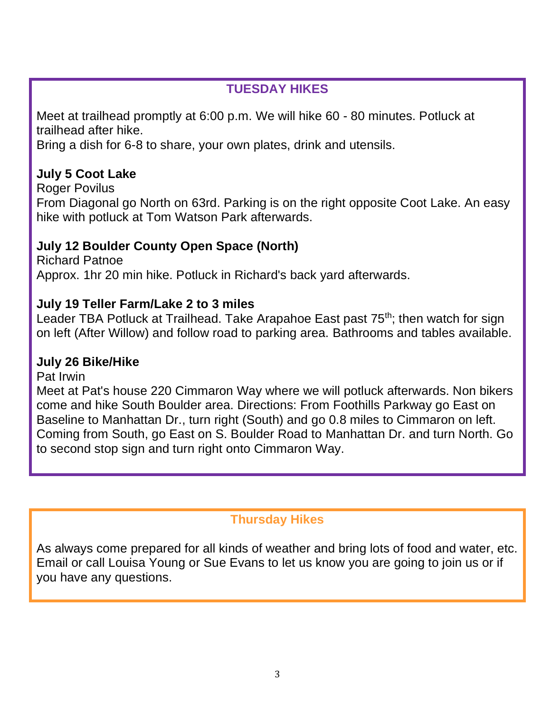## **TUESDAY HIKES**

Meet at trailhead promptly at 6:00 p.m. We will hike 60 - 80 minutes. Potluck at trailhead after hike.

Bring a dish for 6-8 to share, your own plates, drink and utensils.

# **July 5 Coot Lake**

Roger Povilus

From Diagonal go North on 63rd. Parking is on the right opposite Coot Lake. An easy hike with potluck at Tom Watson Park afterwards.

# **July 12 Boulder County Open Space (North)**

Richard Patnoe Approx. 1hr 20 min hike. Potluck in Richard's back yard afterwards.

## **July 19 Teller Farm/Lake 2 to 3 miles**

Leader TBA Potluck at Trailhead. Take Arapahoe East past 75<sup>th</sup>; then watch for sign on left (After Willow) and follow road to parking area. Bathrooms and tables available.

## **July 26 Bike/Hike**

Pat Irwin

Meet at Pat's house 220 Cimmaron Way where we will potluck afterwards. Non bikers come and hike South Boulder area. Directions: From Foothills Parkway go East on Baseline to Manhattan Dr., turn right (South) and go 0.8 miles to Cimmaron on left. Coming from South, go East on S. Boulder Road to Manhattan Dr. and turn North. Go to second stop sign and turn right onto Cimmaron Way.

## **Thursday Hikes**

As always come prepared for all kinds of weather and bring lots of food and water, etc. Email or call Louisa Young or Sue Evans to let us know you are going to join us or if you have any questions.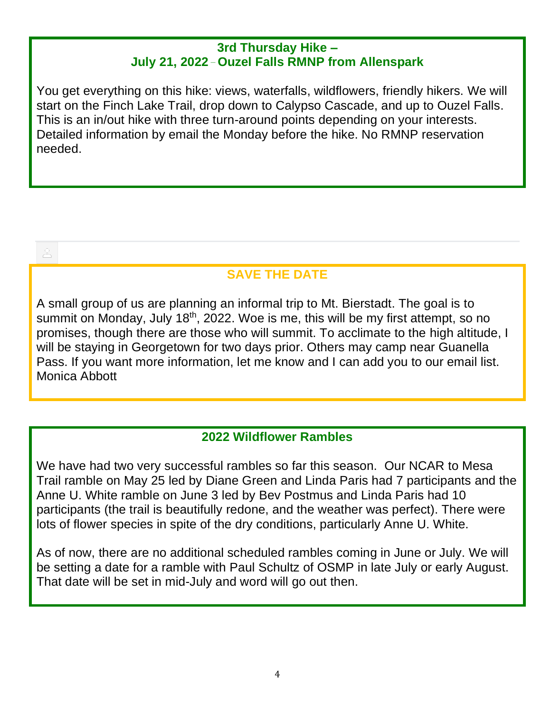#### **3rd Thursday Hike – July 21, 2022 \_ Ouzel Falls RMNP from Allenspark**

You get everything on this hike: views, waterfalls, wildflowers, friendly hikers. We will start on the Finch Lake Trail, drop down to Calypso Cascade, and up to Ouzel Falls. This is an in/out hike with three turn-around points depending on your interests. Detailed information by email the Monday before the hike. No RMNP reservation needed.

# **SAVE THE DATE**

A small group of us are planning an informal trip to Mt. Bierstadt. The goal is to summit on Monday, July  $18<sup>th</sup>$ , 2022. Woe is me, this will be my first attempt, so no promises, though there are those who will summit. To acclimate to the high altitude, I will be staying in Georgetown for two days prior. Others may camp near Guanella Pass. If you want more information, let me know and I can add you to our email list. Monica Abbott

## **2022 Wildflower Rambles**

We have had two very successful rambles so far this season. Our NCAR to Mesa Trail ramble on May 25 led by Diane Green and Linda Paris had 7 participants and the Anne U. White ramble on June 3 led by Bev Postmus and Linda Paris had 10 participants (the trail is beautifully redone, and the weather was perfect). There were lots of flower species in spite of the dry conditions, particularly Anne U. White.

As of now, there are no additional scheduled rambles coming in June or July. We will be setting a date for a ramble with Paul Schultz of OSMP in late July or early August. That date will be set in mid-July and word will go out then.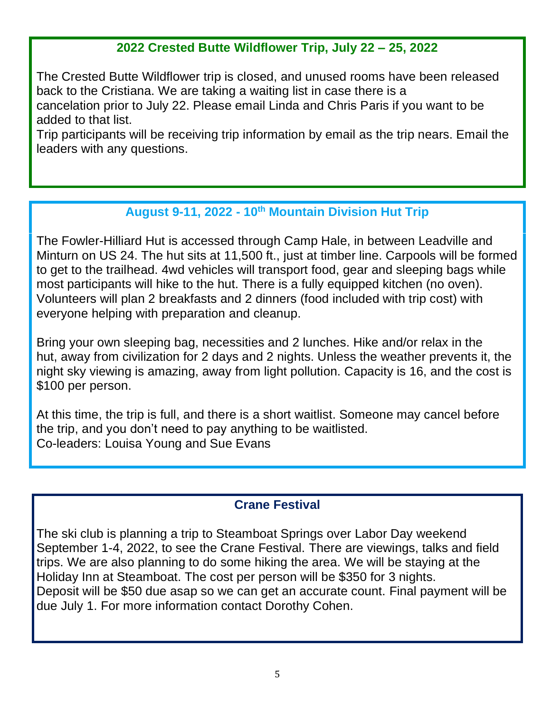# **2022 Crested Butte Wildflower Trip, July 22 – 25, 2022**

The Crested Butte Wildflower trip is closed, and unused rooms have been released back to the Cristiana. We are taking a waiting list in case there is a cancelation prior to July 22. Please email Linda and Chris Paris if you want to be added to that list.

Trip participants will be receiving trip information by email as the trip nears. Email the leaders with any questions.

## **August 9-11, 2022 - 10th Mountain Division Hut Trip**

The Fowler-Hilliard Hut is accessed through Camp Hale, in between Leadville and Minturn on US 24. The hut sits at 11,500 ft., just at timber line. Carpools will be formed to get to the trailhead. 4wd vehicles will transport food, gear and sleeping bags while most participants will hike to the hut. There is a fully equipped kitchen (no oven). Volunteers will plan 2 breakfasts and 2 dinners (food included with trip cost) with everyone helping with preparation and cleanup.

Bring your own sleeping bag, necessities and 2 lunches. Hike and/or relax in the hut, away from civilization for 2 days and 2 nights. Unless the weather prevents it, the night sky viewing is amazing, away from light pollution. Capacity is 16, and the cost is \$100 per person.

At this time, the trip is full, and there is a short waitlist. Someone may cancel before the trip, and you don't need to pay anything to be waitlisted. Co-leaders: Louisa Young and Sue Evans

## **Crane Festival**

The ski club is planning a trip to Steamboat Springs over Labor Day weekend September 1-4, 2022, to see the Crane Festival. There are viewings, talks and field trips. We are also planning to do some hiking the area. We will be staying at the Holiday Inn at Steamboat. The cost per person will be \$350 for 3 nights. Deposit will be \$50 due asap so we can get an accurate count. Final payment will be due July 1. For more information contact Dorothy Cohen.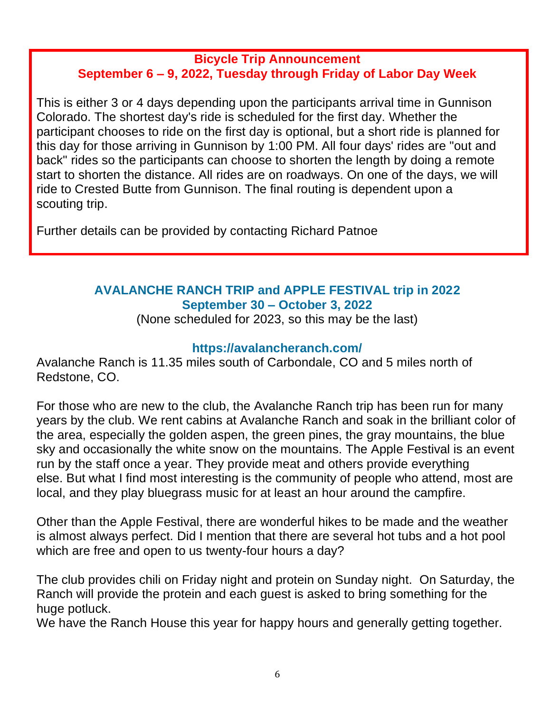#### **Bicycle Trip Announcement September 6 – 9, 2022, Tuesday through Friday of Labor Day Week**

This is either 3 or 4 days depending upon the participants arrival time in Gunnison Colorado. The shortest day's ride is scheduled for the first day. Whether the participant chooses to ride on the first day is optional, but a short ride is planned for this day for those arriving in Gunnison by 1:00 PM. All four days' rides are "out and back" rides so the participants can choose to shorten the length by doing a remote start to shorten the distance. All rides are on roadways. On one of the days, we will ride to Crested Butte from Gunnison. The final routing is dependent upon a scouting trip.

Further details can be provided by contacting Richard Patnoe

### **AVALANCHE RANCH TRIP and APPLE FESTIVAL trip in 2022 September 30 – October 3, 2022**

(None scheduled for 2023, so this may be the last)

### **<https://avalancheranch.com/>**

Avalanche Ranch is 11.35 miles south of Carbondale, CO and 5 miles north of Redstone, CO.

For those who are new to the club, the Avalanche Ranch trip has been run for many years by the club. We rent cabins at Avalanche Ranch and soak in the brilliant color of the area, especially the golden aspen, the green pines, the gray mountains, the blue sky and occasionally the white snow on the mountains. The Apple Festival is an event run by the staff once a year. They provide meat and others provide everything else. But what I find most interesting is the community of people who attend, most are local, and they play bluegrass music for at least an hour around the campfire.

Other than the Apple Festival, there are wonderful hikes to be made and the weather is almost always perfect. Did I mention that there are several hot tubs and a hot pool which are free and open to us twenty-four hours a day?

The club provides chili on Friday night and protein on Sunday night. On Saturday, the Ranch will provide the protein and each guest is asked to bring something for the huge potluck.

We have the Ranch House this year for happy hours and generally getting together.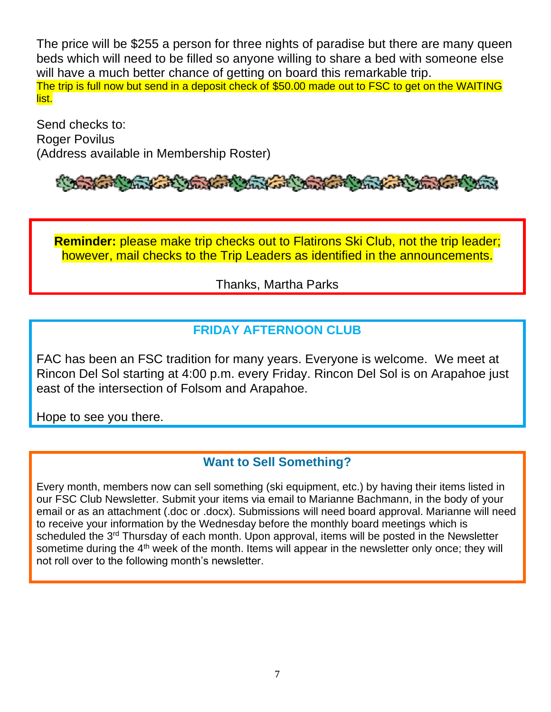The price will be \$255 a person for three nights of paradise but there are many queen beds which will need to be filled so anyone willing to share a bed with someone else will have a much better chance of getting on board this remarkable trip. The trip is full now but send in a deposit check of \$50.00 made out to FSC to get on the WAITING list.

Send checks to: Roger Povilus (Address available in Membership Roster)

# The Mart Charles

**Reminder:** please make trip checks out to Flatirons Ski Club, not the trip leader; however, mail checks to the Trip Leaders as identified in the announcements.

#### Thanks, Martha Parks

### **FRIDAY AFTERNOON CLUB**

FAC has been an FSC tradition for many years. Everyone is welcome. We meet at Rincon Del Sol starting at 4:00 p.m. every Friday. Rincon Del Sol is on Arapahoe just east of the intersection of Folsom and Arapahoe.

Hope to see you there.

#### **Want to Sell Something?**

Every month, members now can sell something (ski equipment, etc.) by having their items listed in our FSC Club Newsletter. Submit your items via email to Marianne Bachmann, in the body of your email or as an attachment (.doc or .docx). Submissions will need board approval. Marianne will need to receive your information by the Wednesday before the monthly board meetings which is scheduled the 3<sup>rd</sup> Thursday of each month. Upon approval, items will be posted in the Newsletter sometime during the  $4<sup>th</sup>$  week of the month. Items will appear in the newsletter only once; they will not roll over to the following month's newsletter.